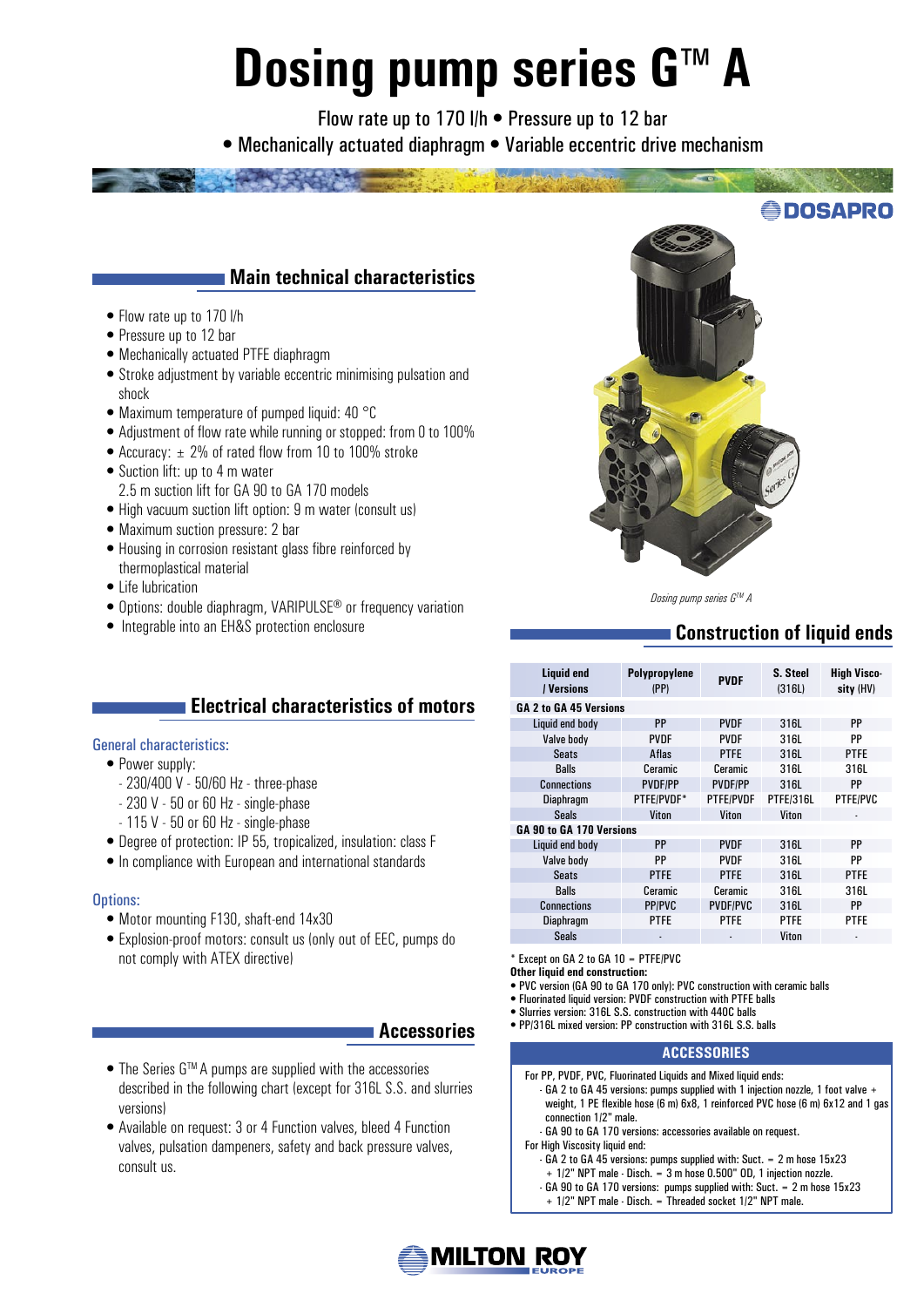# **Dosing pump series G™A**

Flow rate up to 170 l/h • Pressure up to 12 bar • Mechanically actuated diaphragm • Variable eccentric drive mechanism



- High vacuum suction lift option: 9 m water (consult us)
- Maximum suction pressure: 2 bar

• Suction lift: up to 4 m water

• Flow rate up to 170 l/h • Pressure up to 12 bar

shock

- Housing in corrosion resistant glass fibre reinforced by thermoplastical material
- Life lubrication
- Options: double diaphragm, VARIPULSE® or frequency variation
- Integrable into an EH&S protection enclosure

## **Electrical characteristics of motors**

#### General characteristics:

- Power supply:
	- 230/400 V 50/60 Hz three-phase
	- 230 V 50 or 60 Hz single-phase
	- 115 V 50 or 60 Hz single-phase
- Degree of protection: IP 55, tropicalized, insulation: class F
- In compliance with European and international standards

#### Options:

- Motor mounting F130, shaft-end 14x30
- Explosion-proof motors: consult us (only out of EEC, pumps do not comply with ATEX directive)

## **Accessories**

- The Series G<sup>™</sup> A pumps are supplied with the accessories described in the following chart (except for 316L S.S. and slurries versions)
- Available on request: 3 or 4 Function valves, bleed 4 Function valves, pulsation dampeners, safety and back pressure valves, consult us.

*Dosing pump series GTM A*

# **Construction of liquid ends**

| Liquid end<br>/ Versions | Polypropylene<br>(PP) | <b>PVDF</b>      | S. Steel<br>(316L) | <b>High Visco-</b><br>sity (HV) |  |
|--------------------------|-----------------------|------------------|--------------------|---------------------------------|--|
| GA 2 to GA 45 Versions   |                       |                  |                    |                                 |  |
| Liquid end body          | <b>PP</b>             | <b>PVDF</b>      | 316L               | <b>PP</b>                       |  |
| Valve body               | PVDF                  | <b>PVDF</b>      | 316L               | PP                              |  |
| <b>Seats</b>             | <b>Aflas</b>          | <b>PTFE</b>      | 316L               | <b>PTFE</b>                     |  |
| <b>Balls</b>             | Ceramic               | Ceramic          | 316L               | 316L                            |  |
| <b>Connections</b>       | <b>PVDF/PP</b>        | PVDF/PP          | 316L               | PP                              |  |
| <b>Diaphragm</b>         | PTFE/PVDF*            | <b>PTFE/PVDF</b> | PTFE/316L          | <b>PTFE/PVC</b>                 |  |
| <b>Seals</b>             | Viton                 | Viton            | Viton              |                                 |  |
| GA 90 to GA 170 Versions |                       |                  |                    |                                 |  |
| Liquid end body          | PP                    | <b>PVDF</b>      | 316L               | <b>PP</b>                       |  |
| Valve body               | PP                    |                  | 316L               | PP                              |  |
| <b>Seats</b>             | <b>PTFE</b>           | <b>PTFE</b>      | 316L               | <b>PTFE</b>                     |  |
| <b>Balls</b>             | Ceramic               | <b>Ceramic</b>   | 316L               | 316L                            |  |
| <b>Connections</b>       | <b>PP/PVC</b>         | <b>PVDF/PVC</b>  | 316L               | <b>PP</b>                       |  |
| Diaphragm                | <b>PTFE</b>           |                  | <b>PTFE</b>        | <b>PTFE</b>                     |  |
| <b>Seals</b>             | ٠                     | ٠                | Viton              | $\overline{\phantom{a}}$        |  |

\* Except on GA 2 to GA 10 = PTFE/PVC

- **Other liquid end construction:**
- PVC version (GA 90 to GA 170 only): PVC construction with ceramic balls • Fluorinated liquid version: PVDF construction with PTFE balls
- Slurries version: 316L S.S. construction with 440C balls
- PP/316L mixed version: PP construction with 316L S.S. balls

#### **ACCESSORIES**

- For PP, PVDF, PVC, Fluorinated Liquids and Mixed liquid ends:
- GA 2 to GA 45 versions: pumps supplied with 1 injection nozzle, 1 foot valve + weight, 1 PE flexible hose (6 m) 6x8, 1 reinforced PVC hose (6 m) 6x12 and 1 gas connection 1/2" male.
- GA 90 to GA 170 versions: accessories available on request.

For High Viscosity liquid end:

- GA 2 to GA 45 versions: pumps supplied with: Suct. = 2 m hose 15x23
- + 1/2" NPT male Disch. = 3 m hose 0.500" OD, 1 injection nozzle.
- GA 90 to GA 170 versions: pumps supplied with: Suct. = 2 m hose 15x23
- + 1/2" NPT male Disch. = Threaded socket 1/2" NPT male.